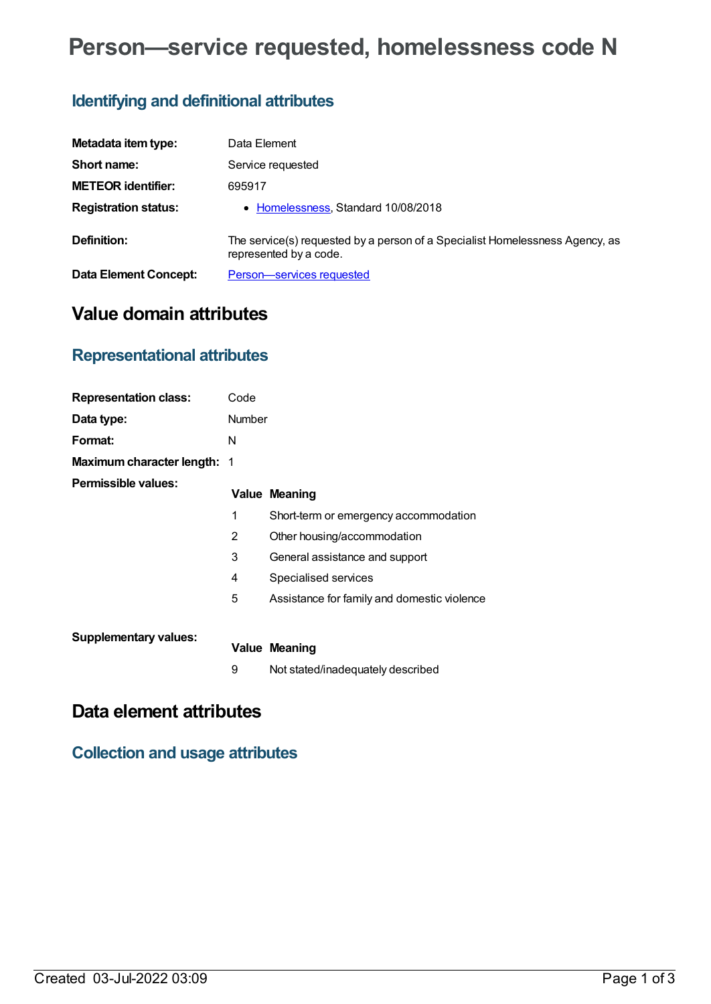# **Person—service requested, homelessness code N**

## **Identifying and definitional attributes**

| Metadata item type:          | Data Element                                                                                           |
|------------------------------|--------------------------------------------------------------------------------------------------------|
| Short name:                  | Service requested                                                                                      |
| <b>METEOR identifier:</b>    | 695917                                                                                                 |
| <b>Registration status:</b>  | • Homelessness, Standard 10/08/2018                                                                    |
| Definition:                  | The service(s) requested by a person of a Specialist Homelessness Agency, as<br>represented by a code. |
| <b>Data Element Concept:</b> | Person-services requested                                                                              |

## **Value domain attributes**

#### **Representational attributes**

| <b>Representation class:</b>       | Code   |                                             |
|------------------------------------|--------|---------------------------------------------|
| Data type:                         | Number |                                             |
| Format:                            | N      |                                             |
| <b>Maximum character length: 1</b> |        |                                             |
| Permissible values:                |        | <b>Value Meaning</b>                        |
|                                    | 1      | Short-term or emergency accommodation       |
|                                    | 2      | Other housing/accommodation                 |
|                                    | 3      | General assistance and support              |
|                                    | 4      | Specialised services                        |
|                                    | 5      | Assistance for family and domestic violence |
| <b>Supplementary values:</b>       |        |                                             |
|                                    |        | <b>Value Meaning</b>                        |
|                                    | 9      | Not stated/inadequately described           |

### **Data element attributes**

**Collection and usage attributes**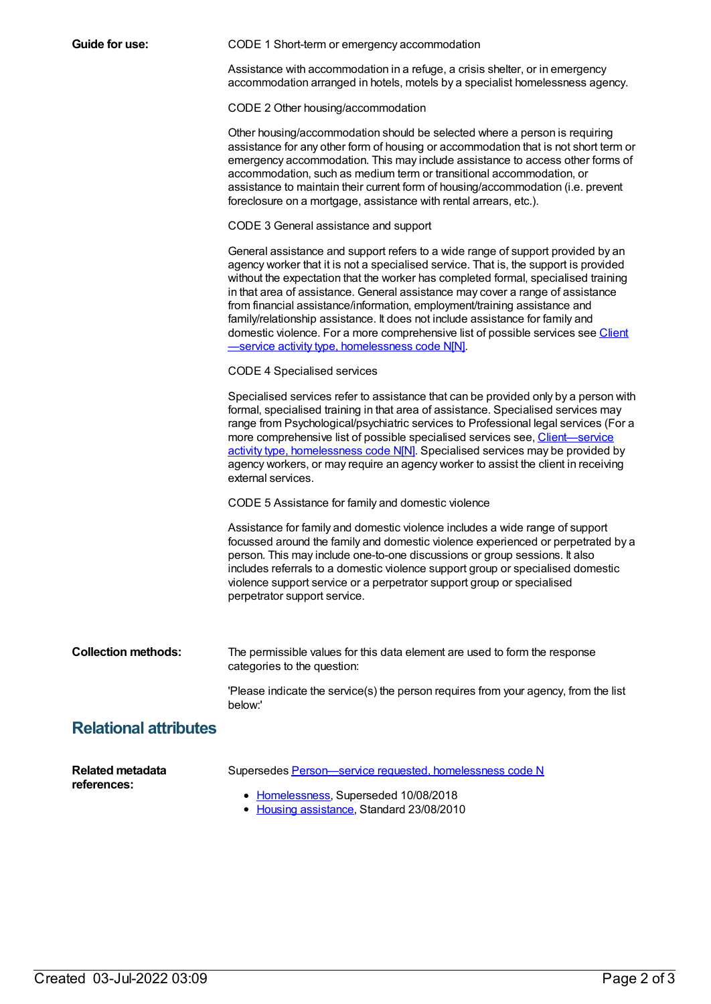| Guide for use:                         | CODE 1 Short-term or emergency accommodation                                                                                                                                                                                                                                                                                                                                                                                                                                                                                                                                                                                                         |  |  |  |
|----------------------------------------|------------------------------------------------------------------------------------------------------------------------------------------------------------------------------------------------------------------------------------------------------------------------------------------------------------------------------------------------------------------------------------------------------------------------------------------------------------------------------------------------------------------------------------------------------------------------------------------------------------------------------------------------------|--|--|--|
|                                        | Assistance with accommodation in a refuge, a crisis shelter, or in emergency<br>accommodation arranged in hotels, motels by a specialist homelessness agency.                                                                                                                                                                                                                                                                                                                                                                                                                                                                                        |  |  |  |
|                                        | CODE 2 Other housing/accommodation                                                                                                                                                                                                                                                                                                                                                                                                                                                                                                                                                                                                                   |  |  |  |
|                                        | Other housing/accommodation should be selected where a person is requiring<br>assistance for any other form of housing or accommodation that is not short term or<br>emergency accommodation. This may include assistance to access other forms of<br>accommodation, such as medium term or transitional accommodation, or<br>assistance to maintain their current form of housing/accommodation (i.e. prevent<br>foreclosure on a mortgage, assistance with rental arrears, etc.).                                                                                                                                                                  |  |  |  |
|                                        | CODE 3 General assistance and support                                                                                                                                                                                                                                                                                                                                                                                                                                                                                                                                                                                                                |  |  |  |
|                                        | General assistance and support refers to a wide range of support provided by an<br>agency worker that it is not a specialised service. That is, the support is provided<br>without the expectation that the worker has completed formal, specialised training<br>in that area of assistance. General assistance may cover a range of assistance<br>from financial assistance/information, employment/training assistance and<br>family/relationship assistance. It does not include assistance for family and<br>domestic violence. For a more comprehensive list of possible services see Client<br>-service activity type, homelessness code N[N]. |  |  |  |
|                                        | <b>CODE 4 Specialised services</b>                                                                                                                                                                                                                                                                                                                                                                                                                                                                                                                                                                                                                   |  |  |  |
|                                        | Specialised services refer to assistance that can be provided only by a person with<br>formal, specialised training in that area of assistance. Specialised services may<br>range from Psychological/psychiatric services to Professional legal services (For a<br>more comprehensive list of possible specialised services see, Client-service<br>activity type, homelessness code N[N]. Specialised services may be provided by<br>agency workers, or may require an agency worker to assist the client in receiving<br>external services.                                                                                                         |  |  |  |
|                                        | CODE 5 Assistance for family and domestic violence                                                                                                                                                                                                                                                                                                                                                                                                                                                                                                                                                                                                   |  |  |  |
|                                        | Assistance for family and domestic violence includes a wide range of support<br>focussed around the family and domestic violence experienced or perpetrated by a<br>person. This may include one-to-one discussions or group sessions. It also<br>includes referrals to a domestic violence support group or specialised domestic<br>violence support service or a perpetrator support group or specialised<br>perpetrator support service.                                                                                                                                                                                                          |  |  |  |
| <b>Collection methods:</b>             | The permissible values for this data element are used to form the response<br>categories to the question:                                                                                                                                                                                                                                                                                                                                                                                                                                                                                                                                            |  |  |  |
|                                        | 'Please indicate the service(s) the person requires from your agency, from the list<br>below:'                                                                                                                                                                                                                                                                                                                                                                                                                                                                                                                                                       |  |  |  |
| <b>Relational attributes</b>           |                                                                                                                                                                                                                                                                                                                                                                                                                                                                                                                                                                                                                                                      |  |  |  |
| <b>Related metadata</b><br>references: | Supersedes Person-service requested, homelessness code N                                                                                                                                                                                                                                                                                                                                                                                                                                                                                                                                                                                             |  |  |  |
|                                        | • Homelessness, Superseded 10/08/2018<br>• Housing assistance, Standard 23/08/2010                                                                                                                                                                                                                                                                                                                                                                                                                                                                                                                                                                   |  |  |  |